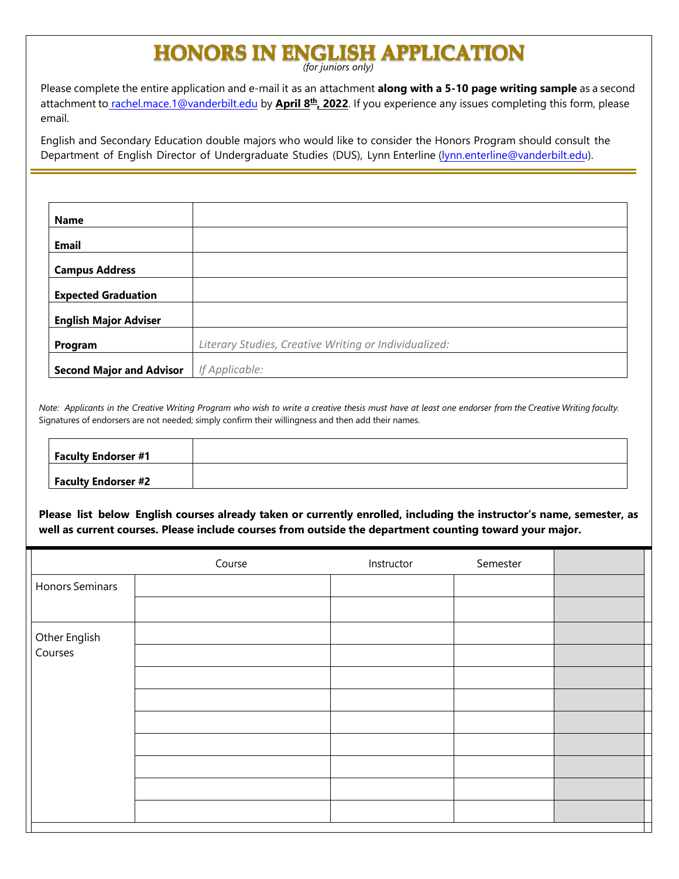## **HONORS IN ENGLISH APPLICATION**

Please complete the entire application and e-mail it as an attachment **along with a 5-10 page writing sample** as a second attachment to **rachel.mace.1@vanderbilt.edu** by **April 8<sup>th</sup>, 2022**. If you experience any issues completing this form, please email.

English and Secondary Education double majors who would like to consider the Honors Program should consult the Department of English Director of Undergraduate Studies (DUS), Lynn Enterline [\(lynn.enterline@vanderbilt.edu\)](file:///C:/Users/klapsi/Downloads/lynn.enterline@vanderbilt.edu).

| Name                            |                                                       |
|---------------------------------|-------------------------------------------------------|
| <b>Email</b>                    |                                                       |
|                                 |                                                       |
| <b>Campus Address</b>           |                                                       |
| <b>Expected Graduation</b>      |                                                       |
| <b>English Major Adviser</b>    |                                                       |
| Program                         | Literary Studies, Creative Writing or Individualized: |
| <b>Second Major and Advisor</b> | If Applicable:                                        |

Note: Applicants in the Creative Writing Program who wish to write a creative thesis must have at least one endorser from the Creative Writing faculty. Signatures of endorsers are not needed; simply confirm their willingness and then add their names.

| <b>Faculty Endorser #1</b> |  |
|----------------------------|--|
|                            |  |
| <b>Faculty Endorser #2</b> |  |

**Please list below English courses already taken or currently enrolled, including the instructor's name, semester, as well as current courses. Please include courses from outside the department counting toward your major.** 

|                          | Course | Instructor | Semester |  |
|--------------------------|--------|------------|----------|--|
| <b>Honors Seminars</b>   |        |            |          |  |
|                          |        |            |          |  |
| Other English<br>Courses |        |            |          |  |
|                          |        |            |          |  |
|                          |        |            |          |  |
|                          |        |            |          |  |
|                          |        |            |          |  |
|                          |        |            |          |  |
|                          |        |            |          |  |
|                          |        |            |          |  |
|                          |        |            |          |  |
|                          |        |            |          |  |